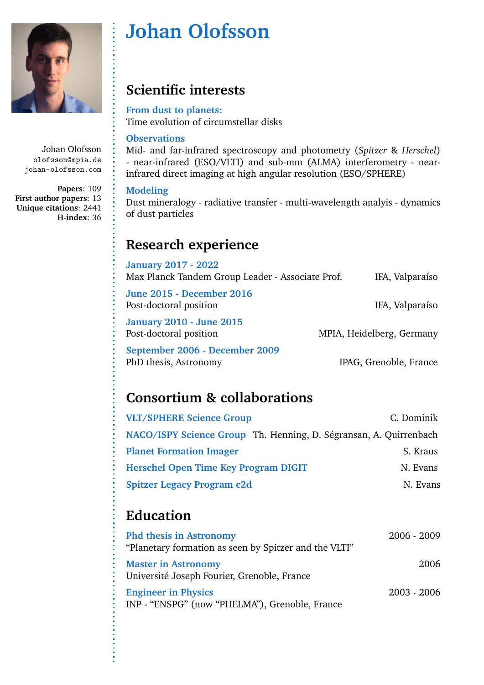

# **Johan Olofsson**

## **Scientific interests**

### **From dust to planets:**

Time evolution of circumstellar disks

### **Observations**

Mid- and far-infrared spectroscopy and photometry (*Spitzer* & *Herschel*) - near-infrared (ESO/VLTI) and sub-mm (ALMA) interferometry - nearinfrared direct imaging at high angular resolution (ESO/SPHERE)

### **Modeling**

Dust mineralogy - radiative transfer - multi-wavelength analyis - dynamics of dust particles

## **Research experience**

| <b>January 2017 - 2022</b><br>Max Planck Tandem Group Leader - Associate Prof. | IFA, Valparaíso           |
|--------------------------------------------------------------------------------|---------------------------|
| <b>June 2015 - December 2016</b><br>Post-doctoral position                     | IFA, Valparaíso           |
| <b>January 2010 - June 2015</b><br>Post-doctoral position                      | MPIA, Heidelberg, Germany |
| September 2006 - December 2009<br>PhD thesis, Astronomy                        | IPAG, Grenoble, France    |

# **Consortium & collaborations**

| <b>VLT/SPHERE Science Group</b>                                   | C. Dominik |
|-------------------------------------------------------------------|------------|
| NACO/ISPY Science Group Th. Henning, D. Ségransan, A. Quirrenbach |            |
| <b>Planet Formation Imager</b>                                    | S. Kraus   |
| Herschel Open Time Key Program DIGIT                              | N. Evans   |
| <b>Spitzer Legacy Program c2d</b>                                 | N. Evans   |

# **Education**

| <b>Phd thesis in Astronomy</b><br>"Planetary formation as seen by Spitzer and the VLTI" | $2006 - 2009$ |
|-----------------------------------------------------------------------------------------|---------------|
| <b>Master in Astronomy</b><br>Université Joseph Fourier, Grenoble, France               | 2006          |
| <b>Engineer in Physics</b><br>INP - "ENSPG" (now "PHELMA"), Grenoble, France            | $2003 - 2006$ |

Johan Olofsson olofsson@mpia.de johan-olofsson.com

**Papers**: 109 **First author papers**: 13 **Unique citations**: 2441 **H-index**: 36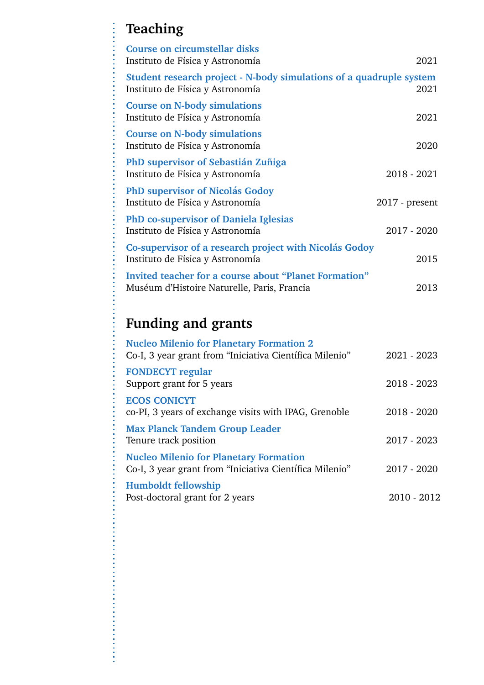# **Teaching**

l

| <b>Course on circumstellar disks</b><br>Instituto de Física y Astronomía                                | 2021             |
|---------------------------------------------------------------------------------------------------------|------------------|
| Student research project - N-body simulations of a quadruple system<br>Instituto de Física y Astronomía | 2021             |
| <b>Course on N-body simulations</b><br>Instituto de Física y Astronomía                                 | 2021             |
| <b>Course on N-body simulations</b><br>Instituto de Física y Astronomía                                 | 2020             |
| PhD supervisor of Sebastián Zuñiga<br>Instituto de Física y Astronomía                                  | $2018 - 2021$    |
| <b>PhD supervisor of Nicolás Godoy</b><br>Instituto de Física y Astronomía                              | $2017$ - present |
| <b>PhD</b> co-supervisor of Daniela Iglesias<br>Instituto de Física y Astronomía                        | $2017 - 2020$    |
| Co-supervisor of a research project with Nicolás Godoy<br>Instituto de Física y Astronomía              | 2015             |
| Invited teacher for a course about "Planet Formation"<br>Muséum d'Histoire Naturelle, Paris, Francia    | 2013             |

# **Funding and grants**

| <b>Nucleo Milenio for Planetary Formation 2</b><br>Co-I, 3 year grant from "Iniciativa Científica Milenio" | 2021 - 2023   |
|------------------------------------------------------------------------------------------------------------|---------------|
| <b>FONDECYT</b> regular<br>Support grant for 5 years                                                       | $2018 - 2023$ |
| <b>ECOS CONICYT</b><br>co-PI, 3 years of exchange visits with IPAG, Grenoble                               | $2018 - 2020$ |
| <b>Max Planck Tandem Group Leader</b><br>Tenure track position                                             | 2017 - 2023   |
| <b>Nucleo Milenio for Planetary Formation</b><br>Co-I, 3 year grant from "Iniciativa Científica Milenio"   | 2017 - 2020   |
| Humboldt fellowship<br>Post-doctoral grant for 2 years                                                     | 2010 - 2012   |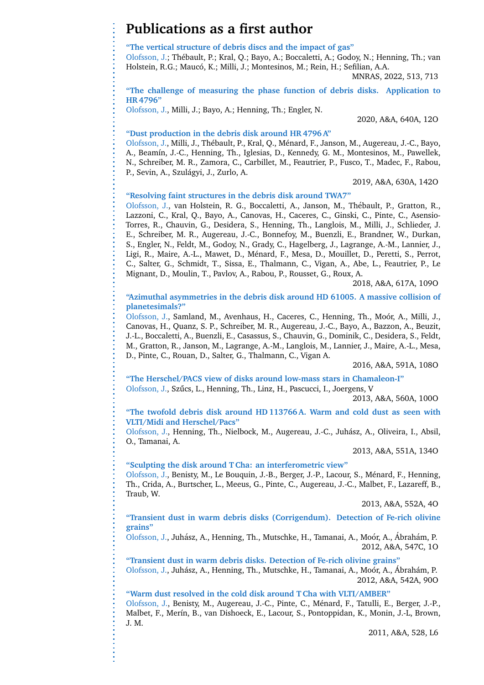## **Publications as a first author**

**"The vertical structure of debris discs and the impact of gas"**

Olofsson, J.; Th´ebault, P.; Kral, Q.; Bayo, A.; Boccaletti, A.; Godoy, N.; Henning, Th.; van Holstein, R.G.; Maucó, K.; Milli, J.; Montesinos, M.; Rein, H.; Sefilian, A.A.

MNRAS, 2022, 513, 713

**"The challenge of measuring the phase function of debris disks. Application to HR 4796"**

Olofsson, J., Milli, J.; Bayo, A.; Henning, Th.; Engler, N.

2020, A&A, 640A, 12O

#### **"Dust production in the debris disk around HR 4796 A"**

Olofsson, J., Milli, J., Thébault, P., Kral, Q., Ménard, F., Janson, M., Augereau, J.-C., Bayo, A., Beamín, J.-C., Henning, Th., Iglesias, D., Kennedy, G. M., Montesinos, M., Pawellek, N., Schreiber, M. R., Zamora, C., Carbillet, M., Feautrier, P., Fusco, T., Madec, F., Rabou, P., Sevin, A., Szulágyi, J., Zurlo, A.

2019, A&A, 630A, 142O

#### **"Resolving faint structures in the debris disk around TWA7"**

Olofsson, J., van Holstein, R. G., Boccaletti, A., Janson, M., Thébault, P., Gratton, R., Lazzoni, C., Kral, Q., Bayo, A., Canovas, H., Caceres, C., Ginski, C., Pinte, C., Asensio-Torres, R., Chauvin, G., Desidera, S., Henning, Th., Langlois, M., Milli, J., Schlieder, J. E., Schreiber, M. R., Augereau, J.-C., Bonnefoy, M., Buenzli, E., Brandner, W., Durkan, S., Engler, N., Feldt, M., Godoy, N., Grady, C., Hagelberg, J., Lagrange, A.-M., Lannier, J., Ligi, R., Maire, A.-L., Mawet, D., Ménard, F., Mesa, D., Mouillet, D., Peretti, S., Perrot, C., Salter, G., Schmidt, T., Sissa, E., Thalmann, C., Vigan, A., Abe, L., Feautrier, P., Le Mignant, D., Moulin, T., Pavlov, A., Rabou, P., Rousset, G., Roux, A.

2018, A&A, 617A, 109O

#### **"Azimuthal asymmetries in the debris disk around HD 61005. A massive collision of planetesimals?"**

Olofsson, J., Samland, M., Avenhaus, H., Caceres, C., Henning, Th., Moor, A., Milli, J., ´ Canovas, H., Quanz, S. P., Schreiber, M. R., Augereau, J.-C., Bayo, A., Bazzon, A., Beuzit, J.-L., Boccaletti, A., Buenzli, E., Casassus, S., Chauvin, G., Dominik, C., Desidera, S., Feldt, M., Gratton, R., Janson, M., Lagrange, A.-M., Langlois, M., Lannier, J., Maire, A.-L., Mesa, D., Pinte, C., Rouan, D., Salter, G., Thalmann, C., Vigan A.

2016, A&A, 591A, 108O

**"The Herschel/PACS view of disks around low-mass stars in Chamaleon-I"** Olofsson, J., Szűcs, L., Henning, Th., Linz, H., Pascucci, I., Joergens, V

2013, A&A, 560A, 100O

**"The twofold debris disk around HD 113766 A. Warm and cold dust as seen with VLTI/Midi and Herschel/Pacs"**

Olofsson, J., Henning, Th., Nielbock, M., Augereau, J.-C., Juhasz, A., Oliveira, I., Absil, ´ O., Tamanai, A.

2013, A&A, 551A, 134O

#### **"Sculpting the disk around T Cha: an interferometric view"**

Olofsson, J., Benisty, M., Le Bouquin, J.-B., Berger, J.-P., Lacour, S., Ménard, F., Henning, Th., Crida, A., Burtscher, L., Meeus, G., Pinte, C., Augereau, J.-C., Malbet, F., Lazareff, B., Traub, W.

2013, A&A, 552A, 4O

**"Transient dust in warm debris disks (Corrigendum). Detection of Fe-rich olivine grains"**

Olofsson, J., Juhász, A., Henning, Th., Mutschke, H., Tamanai, A., Moór, A., Ábrahám, P. 2012, A&A, 547C, 1O

**"Transient dust in warm debris disks. Detection of Fe-rich olivine grains"** Olofsson, J., Juhász, A., Henning, Th., Mutschke, H., Tamanai, A., Moór, A., Ábrahám, P. 2012, A&A, 542A, 90O

**"Warm dust resolved in the cold disk around T Cha with VLTI/AMBER"** Olofsson, J., Benisty, M., Augereau, J.-C., Pinte, C., Ménard, F., Tatulli, E., Berger, J.-P., Malbet, F., Merín, B., van Dishoeck, E., Lacour, S., Pontoppidan, K., Monin, J.-L, Brown, J. M.

2011, A&A, 528, L6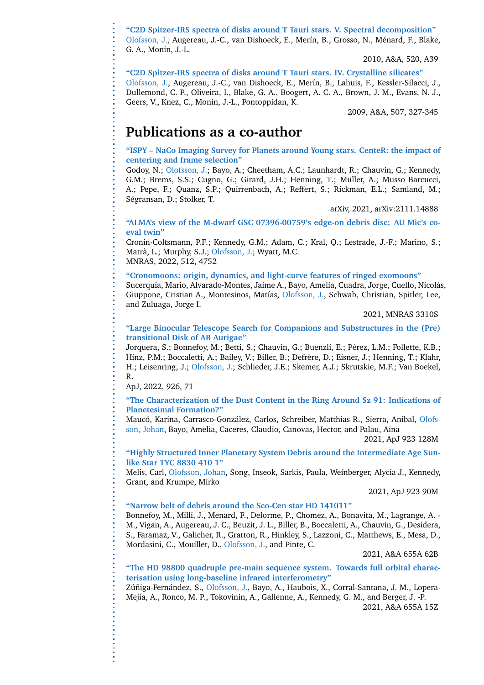**"C2D Spitzer-IRS spectra of disks around T Tauri stars. V. Spectral decomposition"** Olofsson, J., Augereau, J.-C., van Dishoeck, E., Merín, B., Grosso, N., Ménard, F., Blake, G. A., Monin, J.-L.

2010, A&A, 520, A39

**"C2D Spitzer-IRS spectra of disks around T Tauri stars. IV. Crystalline silicates"** Olofsson, J., Augereau, J.-C., van Dishoeck, E., Merín, B., Lahuis, F., Kessler-Silacci, J., Dullemond, C. P., Oliveira, I., Blake, G. A., Boogert, A. C. A., Brown, J. M., Evans, N. J., Geers, V., Knez, C., Monin, J.-L., Pontoppidan, K.

2009, A&A, 507, 327-345

### **Publications as a co-author**

**"ISPY – NaCo Imaging Survey for Planets around Young stars. CenteR: the impact of centering and frame selection"**

Godoy, N.; Olofsson, J.; Bayo, A.; Cheetham, A.C.; Launhardt, R.; Chauvin, G.; Kennedy, G.M.; Brems, S.S.; Cugno, G.; Girard, J.H.; Henning, T.; Müller, A.; Musso Barcucci, A.; Pepe, F.; Quanz, S.P.; Quirrenbach, A.; Reffert, S.; Rickman, E.L.; Samland, M.; Ségransan, D.; Stolker, T.

arXiv, 2021, arXiv:2111.14888

#### **"ALMA's view of the M-dwarf GSC 07396-00759's edge-on debris disc: AU Mic's coeval twin"**

Cronin-Coltsmann, P.F.; Kennedy, G.M.; Adam, C.; Kral, Q.; Lestrade, J.-F.; Marino, S.; Matrà, L.; Murphy, S.J.; Olofsson, J.; Wyatt, M.C. MNRAS, 2022, 512, 4752

**"Cronomoons: origin, dynamics, and light-curve features of ringed exomoons"**

Sucerquia, Mario, Alvarado-Montes, Jaime A., Bayo, Amelia, Cuadra, Jorge, Cuello, Nicolas, ´ Giuppone, Cristian A., Montesinos, Matías, Olofsson, J., Schwab, Christian, Spitler, Lee, and Zuluaga, Jorge I.

2021, MNRAS 3310S

#### **"Large Binocular Telescope Search for Companions and Substructures in the (Pre) transitional Disk of AB Aurigae"**

Jorquera, S.; Bonnefoy, M.; Betti, S.; Chauvin, G.; Buenzli, E.; Pérez, L.M.; Follette, K.B.; Hinz, P.M.; Boccaletti, A.; Bailey, V.; Biller, B.; Defrère, D.; Eisner, J.; Henning, T.; Klahr, H.; Leisenring, J.; Olofsson, J.; Schlieder, J.E.; Skemer, A.J.; Skrutskie, M.F.; Van Boekel, R.

ApJ, 2022, 926, 71

#### **"The Characterization of the Dust Content in the Ring Around Sz 91: Indications of Planetesimal Formation?"**

Maucó, Karina, Carrasco-González, Carlos, Schreiber, Matthias R., Sierra, Anibal, Olofsson, Johan, Bayo, Amelia, Caceres, Claudio, Canovas, Hector, and Palau, Aina

2021, ApJ 923 128M

#### **"Highly Structured Inner Planetary System Debris around the Intermediate Age Sunlike Star TYC 8830 410 1"**

Melis, Carl, Olofsson, Johan, Song, Inseok, Sarkis, Paula, Weinberger, Alycia J., Kennedy, Grant, and Krumpe, Mirko

2021, ApJ 923 90M

#### **"Narrow belt of debris around the Sco-Cen star HD 141011"**

Bonnefoy, M., Milli, J., Menard, F., Delorme, P., Chomez, A., Bonavita, M., Lagrange, A. - M., Vigan, A., Augereau, J. C., Beuzit, J. L., Biller, B., Boccaletti, A., Chauvin, G., Desidera, S., Faramaz, V., Galicher, R., Gratton, R., Hinkley, S., Lazzoni, C., Matthews, E., Mesa, D., Mordasini, C., Mouillet, D., Olofsson, J., and Pinte, C.

2021, A&A 655A 62B

#### **"The HD 98800 quadruple pre-main sequence system. Towards full orbital characterisation using long-baseline infrared interferometry"**

Zúñiga-Fernández, S., Olofsson, J., Bayo, A., Haubois, X., Corral-Santana, J. M., Lopera-Mejía, A., Ronco, M. P., Tokovinin, A., Gallenne, A., Kennedy, G. M., and Berger, J. -P. 2021, A&A 655A 15Z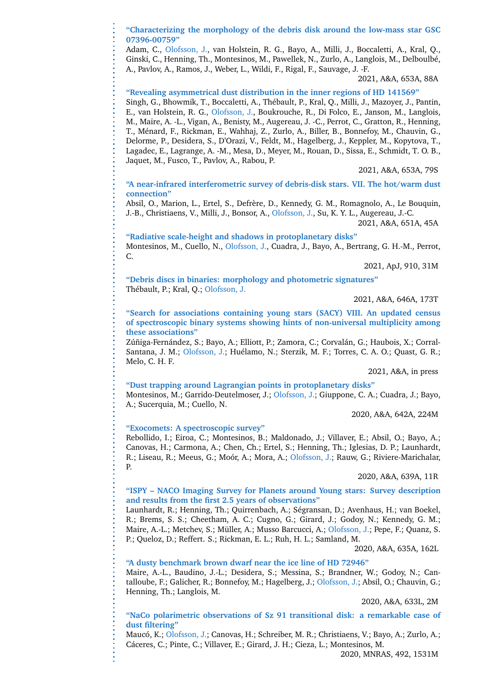**"Characterizing the morphology of the debris disk around the low-mass star GSC 07396-00759"**

Adam, C., Olofsson, J., van Holstein, R. G., Bayo, A., Milli, J., Boccaletti, A., Kral, Q., Ginski, C., Henning, Th., Montesinos, M., Pawellek, N., Zurlo, A., Langlois, M., Delboulbé, A., Pavlov, A., Ramos, J., Weber, L., Wildi, F., Rigal, F., Sauvage, J. -F.

2021, A&A, 653A, 88A

**"Revealing asymmetrical dust distribution in the inner regions of HD 141569"** Singh, G., Bhowmik, T., Boccaletti, A., Thébault, P., Kral, Q., Milli, J., Mazoyer, J., Pantin, E., van Holstein, R. G., Olofsson, J., Boukrouche, R., Di Folco, E., Janson, M., Langlois, M., Maire, A. -L., Vigan, A., Benisty, M., Augereau, J. -C., Perrot, C., Gratton, R., Henning, T., Ménard, F., Rickman, E., Wahhaj, Z., Zurlo, A., Biller, B., Bonnefoy, M., Chauvin, G., Delorme, P., Desidera, S., D'Orazi, V., Feldt, M., Hagelberg, J., Keppler, M., Kopytova, T., Lagadec, E., Lagrange, A. -M., Mesa, D., Meyer, M., Rouan, D., Sissa, E., Schmidt, T. O. B., Jaquet, M., Fusco, T., Pavlov, A., Rabou, P.

2021, A&A, 653A, 79S

**"A near-infrared interferometric survey of debris-disk stars. VII. The hot/warm dust connection"**

Absil, O., Marion, L., Ertel, S., Defrère, D., Kennedy, G. M., Romagnolo, A., Le Bouquin, J.-B., Christiaens, V., Milli, J., Bonsor, A., Olofsson, J., Su, K. Y. L., Augereau, J.-C.

2021, A&A, 651A, 45A

**"Radiative scale-height and shadows in protoplanetary disks"** Montesinos, M., Cuello, N., Olofsson, J., Cuadra, J., Bayo, A., Bertrang, G. H.-M., Perrot, C.

2021, ApJ, 910, 31M

**"Debris discs in binaries: morphology and photometric signatures"** Thébault, P.; Kral, Q.; Olofsson, J.

2021, A&A, 646A, 173T

**"Search for associations containing young stars (SACY) VIII. An updated census of spectroscopic binary systems showing hints of non-universal multiplicity among these associations"**

Zúñiga-Fernández, S.; Bayo, A.; Elliott, P.; Zamora, C.; Corvalán, G.; Haubois, X.; Corral-Santana, J. M.; Olofsson, J.; Huélamo, N.; Sterzik, M. F.; Torres, C. A. O.; Quast, G. R.; Melo, C. H. F.

2021, A&A, in press

**"Dust trapping around Lagrangian points in protoplanetary disks"**

Montesinos, M.; Garrido-Deutelmoser, J.; Olofsson, J.; Giuppone, C. A.; Cuadra, J.; Bayo, A.; Sucerquia, M.; Cuello, N.

2020, A&A, 642A, 224M

#### **"Exocomets: A spectroscopic survey"**

Rebollido, I.; Eiroa, C.; Montesinos, B.; Maldonado, J.; Villaver, E.; Absil, O.; Bayo, A.; Canovas, H.; Carmona, A.; Chen, Ch.; Ertel, S.; Henning, Th.; Iglesias, D. P.; Launhardt, R.; Liseau, R.; Meeus, G.; Moór, A.; Mora, A.; Olofsson, J.; Rauw, G.; Riviere-Marichalar, P.

2020, A&A, 639A, 11R

**"ISPY – NACO Imaging Survey for Planets around Young stars: Survey description and results from the first 2.5 years of observations"**

Launhardt, R.; Henning, Th.; Quirrenbach, A.; Ségransan, D.; Avenhaus, H.; van Boekel, R.; Brems, S. S.; Cheetham, A. C.; Cugno, G.; Girard, J.; Godoy, N.; Kennedy, G. M.; Maire, A.-L.; Metchev, S.; Müller, A.; Musso Barcucci, A.; Olofsson, J.; Pepe, F.; Quanz, S. P.; Queloz, D.; Reffert. S.; Rickman, E. L.; Ruh, H. L.; Samland, M.

2020, A&A, 635A, 162L

**"A dusty benchmark brown dwarf near the ice line of HD 72946"**

Maire, A.-L., Baudino, J.-L.; Desidera, S.; Messina, S.; Brandner, W.; Godoy, N.; Cantalloube, F.; Galicher, R.; Bonnefoy, M.; Hagelberg, J.; Olofsson, J.; Absil, O.; Chauvin, G.; Henning, Th.; Langlois, M.

2020, A&A, 633L, 2M

#### **"NaCo polarimetric observations of Sz 91 transitional disk: a remarkable case of dust filtering"**

Maucó, K.; Olofsson, J.; Canovas, H.; Schreiber, M. R.; Christiaens, V.; Bayo, A.; Zurlo, A.; Cáceres, C.; Pinte, C.; Villaver, E.; Girard, J. H.; Cieza, L.; Montesinos, M.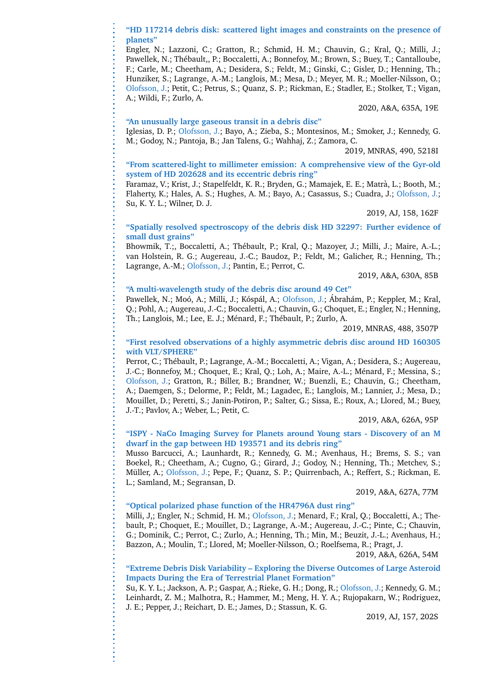#### **"HD 117214 debris disk: scattered light images and constraints on the presence of planets"**

Engler, N.; Lazzoni, C.; Gratton, R.; Schmid, H. M.; Chauvin, G.; Kral, Q.; Milli, J.; Pawellek, N.; Thébault., P.; Boccaletti, A.; Bonnefoy, M.; Brown, S.; Buey, T.; Cantalloube, F.; Carle, M.; Cheetham, A.; Desidera, S.; Feldt, M.; Ginski, C.; Gisler, D.; Henning, Th.; Hunziker, S.; Lagrange, A.-M.; Langlois, M.; Mesa, D.; Meyer, M. R.; Moeller-Nilsson, O.; Olofsson, J.; Petit, C.; Petrus, S.; Quanz, S. P.; Rickman, E.; Stadler, E.; Stolker, T.; Vigan, A.; Wildi, F.; Zurlo, A.

2020, A&A, 635A, 19E

#### **"An unusually large gaseous transit in a debris disc"**

Iglesias, D. P.; Olofsson, J.; Bayo, A.; Zieba, S.; Montesinos, M.; Smoker, J.; Kennedy, G. M.; Godoy, N.; Pantoja, B.; Jan Talens, G.; Wahhaj, Z.; Zamora, C.

2019, MNRAS, 490, 5218I

#### **"From scattered-light to millimeter emission: A comprehensive view of the Gyr-old system of HD 202628 and its eccentric debris ring"**

Faramaz, V.; Krist, J.; Stapelfeldt, K. R.; Bryden, G.; Mamajek, E. E.; Matra, L.; Booth, M.; ` Flaherty, K.; Hales, A. S.; Hughes, A. M.; Bayo, A.; Casassus, S.; Cuadra, J.; Olofsson, J.; Su, K. Y. L.; Wilner, D. J.

2019, AJ, 158, 162F

#### **"Spatially resolved spectroscopy of the debris disk HD 32297: Further evidence of small dust grains"**

Bhowmik, T.;, Boccaletti, A.; Thébault, P.; Kral, Q.; Mazoyer, J.; Milli, J.; Maire, A.-L.; van Holstein, R. G.; Augereau, J.-C.; Baudoz, P.; Feldt, M.; Galicher, R.; Henning, Th.; Lagrange, A.-M.; Olofsson, J.; Pantin, E.; Perrot, C.

2019, A&A, 630A, 85B

#### **"A multi-wavelength study of the debris disc around 49 Cet"**

Pawellek, N.; Moó, A.; Milli, J.; Kóspál, A.; Olofsson, J.; Ábrahám, P.; Keppler, M.; Kral, Q.; Pohl, A.; Augereau, J.-C.; Boccaletti, A.; Chauvin, G.; Choquet, E.; Engler, N.; Henning, Th.; Langlois, M.; Lee, E. J.; Ménard, F.; Thébault, P.; Zurlo, A.

2019, MNRAS, 488, 3507P

#### **"First resolved observations of a highly asymmetric debris disc around HD 160305 with VLT/SPHERE"**

Perrot, C.; Thébault, P.; Lagrange, A.-M.; Boccaletti, A.; Vigan, A.; Desidera, S.; Augereau, J.-C.; Bonnefoy, M.; Choquet, E.; Kral, Q.; Loh, A.; Maire, A.-L.; Ménard, F.; Messina, S.; Olofsson, J.; Gratton, R.; Biller, B.; Brandner, W.; Buenzli, E.; Chauvin, G.; Cheetham, A.; Daemgen, S.; Delorme, P.; Feldt, M.; Lagadec, E.; Langlois, M.; Lannier, J.; Mesa, D.; Mouillet, D.; Peretti, S.; Janin-Potiron, P.; Salter, G.; Sissa, E.; Roux, A.; Llored, M.; Buey, J.-T.; Pavlov, A.; Weber, L.; Petit, C.

2019, A&A, 626A, 95P

#### **"ISPY - NaCo Imaging Survey for Planets around Young stars - Discovery of an M dwarf in the gap between HD 193571 and its debris ring"**

Musso Barcucci, A.; Launhardt, R.; Kennedy, G. M.; Avenhaus, H.; Brems, S. S.; van Boekel, R.; Cheetham, A.; Cugno, G.; Girard, J.; Godoy, N.; Henning, Th.; Metchev, S.; Müller, A.; Olofsson, J.; Pepe, F.; Quanz, S. P.; Quirrenbach, A.; Reffert, S.; Rickman, E. L.; Samland, M.; Segransan, D.

2019, A&A, 627A, 77M

#### **"Optical polarized phase function of the HR4796A dust ring"**

Milli, J,; Engler, N.; Schmid, H. M.; Olofsson, J.; Menard, F.; Kral, Q.; Boccaletti, A.; Thebault, P.; Choquet, E.; Mouillet, D.; Lagrange, A.-M.; Augereau, J.-C.; Pinte, C.; Chauvin, G.; Dominik, C.; Perrot, C.; Zurlo, A.; Henning, Th.; Min, M.; Beuzit, J.-L.; Avenhaus, H.; Bazzon, A.; Moulin, T.; Llored, M; Moeller-Nilsson, O.; Roelfsema, R.; Pragt, J.

2019, A&A, 626A, 54M

#### **"Extreme Debris Disk Variability – Exploring the Diverse Outcomes of Large Asteroid Impacts During the Era of Terrestrial Planet Formation"**

Su, K. Y. L.; Jackson, A. P.; Gaspar, A.; Rieke, G. H.; Dong, R.; Olofsson, J.; Kennedy, G. M.; Leinhardt, Z. M.; Malhotra, R.; Hammer, M.; Meng, H. Y. A.; Rujopakarn, W.; Rodriguez, J. E.; Pepper, J.; Reichart, D. E.; James, D.; Stassun, K. G.

2019, AJ, 157, 202S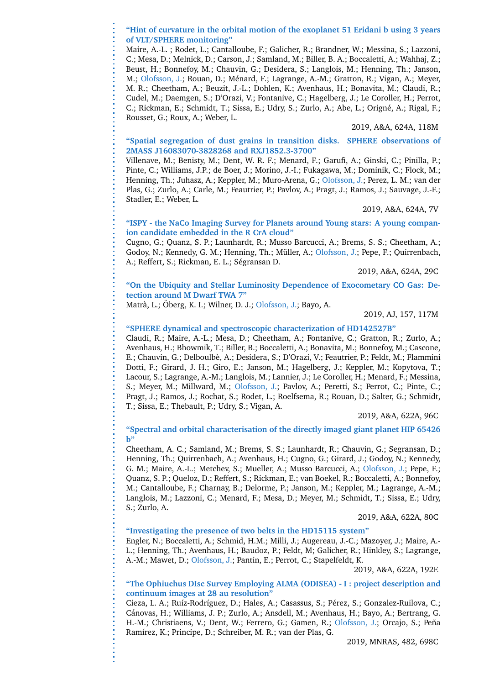**"Hint of curvature in the orbital motion of the exoplanet 51 Eridani b using 3 years of VLT/SPHERE monitoring"**

Maire, A.-L. ; Rodet, L.; Cantalloube, F.; Galicher, R.; Brandner, W.; Messina, S.; Lazzoni, C.; Mesa, D.; Melnick, D.; Carson, J.; Samland, M.; Biller, B. A.; Boccaletti, A.; Wahhaj, Z.; Beust, H.; Bonnefoy, M.; Chauvin, G.; Desidera, S.; Langlois, M.; Henning, Th.; Janson, M.; Olofsson, J.; Rouan, D.; Ménard, F.; Lagrange, A.-M.; Gratton, R.; Vigan, A.; Meyer, M. R.; Cheetham, A.; Beuzit, J.-L.; Dohlen, K.; Avenhaus, H.; Bonavita, M.; Claudi, R.; Cudel, M.; Daemgen, S.; D'Orazi, V.; Fontanive, C.; Hagelberg, J.; Le Coroller, H.; Perrot, C.; Rickman, E.; Schmidt, T.; Sissa, E.; Udry, S.; Zurlo, A.; Abe, L.; Orign´e, A.; Rigal, F.; Rousset, G.; Roux, A.; Weber, L.

2019, A&A, 624A, 118M

#### **"Spatial segregation of dust grains in transition disks. SPHERE observations of 2MASS J16083070-3828268 and RXJ1852.3-3700"**

Villenave, M.; Benisty, M.; Dent, W. R. F.; Menard, F.; Garufi, A.; Ginski, C.; Pinilla, P.; Pinte, C.; Williams, J.P.; de Boer, J.; Morino, J.-I.; Fukagawa, M.; Dominik, C.; Flock, M.; Henning, Th.; Juhasz, A.; Keppler, M.; Muro-Arena, G.; Olofsson, J.; Perez, L. M.; van der Plas, G.; Zurlo, A.; Carle, M.; Feautrier, P.; Pavlov, A.; Pragt, J.; Ramos, J.; Sauvage, J.-F.; Stadler, E.; Weber, L.

2019, A&A, 624A, 7V

#### **"ISPY - the NaCo Imaging Survey for Planets around Young stars: A young companion candidate embedded in the R CrA cloud"**

Cugno, G.; Quanz, S. P.; Launhardt, R.; Musso Barcucci, A.; Brems, S. S.; Cheetham, A.; Godoy, N.; Kennedy, G. M.; Henning, Th.; Müller, A.; Olofsson, J.; Pepe, F.; Quirrenbach, A.; Reffert, S.; Rickman, E. L.; Ségransan D.

2019, A&A, 624A, 29C

**"On the Ubiquity and Stellar Luminosity Dependence of Exocometary CO Gas: Detection around M Dwarf TWA 7"**

Matrà, L.; Öberg, K. I.; Wilner, D. J.; Olofsson, J.; Bayo, A.

2019, AJ, 157, 117M

#### **"SPHERE dynamical and spectroscopic characterization of HD142527B"**

Claudi, R.; Maire, A.-L.; Mesa, D.; Cheetham, A.; Fontanive, C.; Gratton, R.; Zurlo, A.; Avenhaus, H.; Bhowmik, T.; Biller, B.; Boccaletti, A.; Bonavita, M.; Bonnefoy, M.; Cascone, E.; Chauvin, G.; Delboulb`e, A.; Desidera, S.; D'Orazi, V.; Feautrier, P.; Feldt, M.; Flammini Dotti, F.; Girard, J. H.; Giro, E.; Janson, M.; Hagelberg, J.; Keppler, M.; Kopytova, T.; Lacour, S.; Lagrange, A.-M.; Langlois, M.; Lannier, J.; Le Coroller, H.; Menard, F.; Messina, S.; Meyer, M.; Millward, M.; Olofsson, J.; Pavlov, A.; Peretti, S.; Perrot, C.; Pinte, C.; Pragt, J.; Ramos, J.; Rochat, S.; Rodet, L.; Roelfsema, R.; Rouan, D.; Salter, G.; Schmidt, T.; Sissa, E.; Thebault, P.; Udry, S.; Vigan, A.

2019, A&A, 622A, 96C

#### **"Spectral and orbital characterisation of the directly imaged giant planet HIP 65426 b"**

Cheetham, A. C.; Samland, M.; Brems, S. S.; Launhardt, R.; Chauvin, G.; Segransan, D.; Henning, Th.; Quirrenbach, A.; Avenhaus, H.; Cugno, G.; Girard, J.; Godoy, N.; Kennedy, G. M.; Maire, A.-L.; Metchev, S.; Mueller, A.; Musso Barcucci, A.; Olofsson, J.; Pepe, F.; Quanz, S. P.; Queloz, D.; Reffert, S.; Rickman, E.; van Boekel, R.; Boccaletti, A.; Bonnefoy, M.; Cantalloube, F.; Charnay, B.; Delorme, P.; Janson, M.; Keppler, M.; Lagrange, A.-M.; Langlois, M.; Lazzoni, C.; Menard, F.; Mesa, D.; Meyer, M.; Schmidt, T.; Sissa, E.; Udry, S.; Zurlo, A.

2019, A&A, 622A, 80C

#### **"Investigating the presence of two belts in the HD15115 system"**

Engler, N.; Boccaletti, A.; Schmid, H.M.; Milli, J.; Augereau, J.-C.; Mazoyer, J.; Maire, A.- L.; Henning, Th.; Avenhaus, H.; Baudoz, P.; Feldt, M; Galicher, R.; Hinkley, S.; Lagrange, A.-M.; Mawet, D.; Olofsson, J.; Pantin, E.; Perrot, C.; Stapelfeldt, K.

2019, A&A, 622A, 192E

#### **"The Ophiuchus DIsc Survey Employing ALMA (ODISEA) - I : project description and continuum images at 28 au resolution"**

Cieza, L. A.; Ruíz-Rodríguez, D.; Hales, A.; Casassus, S.; Pérez, S.; Gonzalez-Ruilova, C.; Cánovas, H.; Williams, J. P.; Zurlo, A.; Ansdell, M.; Avenhaus, H.; Bayo, A.; Bertrang, G. H.-M.; Christiaens, V.; Dent, W.; Ferrero, G.; Gamen, R.; Olofsson, J.; Orcajo, S.; Peña Ramírez, K.; Principe, D.; Schreiber, M. R.; van der Plas, G.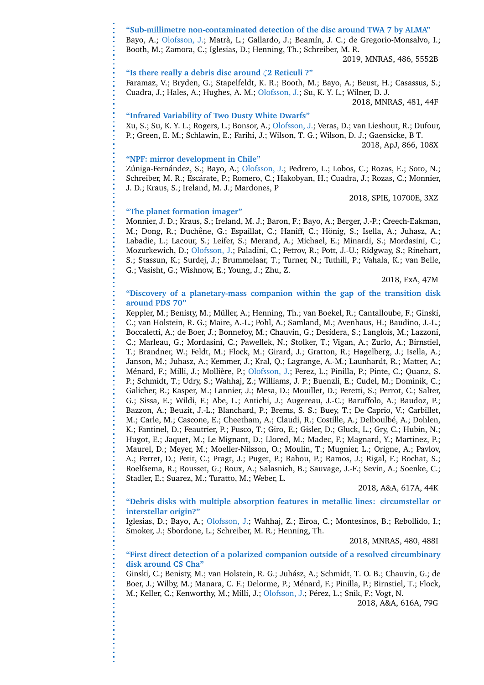#### **"Sub-millimetre non-contaminated detection of the disc around TWA 7 by ALMA"** Bayo, A.; Olofsson, J.; Matrà, L.; Gallardo, J.; Beamín, J. C.; de Gregorio-Monsalvo, I.; Booth, M.; Zamora, C.; Iglesias, D.; Henning, Th.; Schreiber, M. R.

2019, MNRAS, 486, 5552B

#### **"Is there really a debris disc around** ζ**2 Reticuli ?"**

Faramaz, V.; Bryden, G.; Stapelfeldt, K. R.; Booth, M.; Bayo, A.; Beust, H.; Casassus, S.; Cuadra, J.; Hales, A.; Hughes, A. M.; Olofsson, J.; Su, K. Y. L.; Wilner, D. J. 2018, MNRAS, 481, 44F

#### **"Infrared Variability of Two Dusty White Dwarfs"**

Xu, S.; Su, K. Y. L.; Rogers, L.; Bonsor, A.; Olofsson, J.; Veras, D.; van Lieshout, R.; Dufour, P.; Green, E. M.; Schlawin, E.; Farihi, J.; Wilson, T. G.; Wilson, D. J.; Gaensicke, B T. 2018, ApJ, 866, 108X

#### **"NPF: mirror development in Chile"**

Zúniga-Fernández, S.; Bayo, A.; Olofsson, J.; Pedrero, L.; Lobos, C.; Rozas, E.; Soto, N.; Schreiber, M. R.; Escárate, P.; Romero, C.; Hakobyan, H.; Cuadra, J.; Rozas, C.; Monnier, J. D.; Kraus, S.; Ireland, M. J.; Mardones, P

2018, SPIE, 10700E, 3XZ

#### **"The planet formation imager"**

Monnier, J. D.; Kraus, S.; Ireland, M. J.; Baron, F.; Bayo, A.; Berger, J.-P.; Creech-Eakman, M.; Dong, R.; Duchêne, G.; Espaillat, C.; Haniff, C.; Hönig, S.; Isella, A.; Juhasz, A.; Labadie, L.; Lacour, S.; Leifer, S.; Merand, A.; Michael, E.; Minardi, S.; Mordasini, C.; Mozurkewich, D.; Olofsson, J.; Paladini, C.; Petrov, R.; Pott, J.-U.; Ridgway, S.; Rinehart, S.; Stassun, K.; Surdej, J.; Brummelaar, T.; Turner, N.; Tuthill, P.; Vahala, K.; van Belle, G.; Vasisht, G.; Wishnow, E.; Young, J.; Zhu, Z.

2018, ExA, 47M

#### **"Discovery of a planetary-mass companion within the gap of the transition disk around PDS 70"**

Keppler, M.; Benisty, M.; Müller, A.; Henning, Th.; van Boekel, R.; Cantalloube, F.; Ginski, C.; van Holstein, R. G.; Maire, A.-L.; Pohl, A.; Samland, M.; Avenhaus, H.; Baudino, J.-L.; Boccaletti, A.; de Boer, J.; Bonnefoy, M.; Chauvin, G.; Desidera, S.; Langlois, M.; Lazzoni, C.; Marleau, G.; Mordasini, C.; Pawellek, N.; Stolker, T.; Vigan, A.; Zurlo, A.; Birnstiel, T.; Brandner, W.; Feldt, M.; Flock, M.; Girard, J.; Gratton, R.; Hagelberg, J.; Isella, A.; Janson, M.; Juhasz, A.; Kemmer, J.; Kral, Q.; Lagrange, A.-M.; Launhardt, R.; Matter, A.; Ménard, F.; Milli, J.; Mollière, P.; Olofsson, J.; Perez, L.; Pinilla, P.; Pinte, C.; Quanz, S. P.; Schmidt, T.; Udry, S.; Wahhaj, Z.; Williams, J. P.; Buenzli, E.; Cudel, M.; Dominik, C.; Galicher, R.; Kasper, M.; Lannier, J.; Mesa, D.; Mouillet, D.; Peretti, S.; Perrot, C.; Salter, G.; Sissa, E.; Wildi, F.; Abe, L.; Antichi, J.; Augereau, J.-C.; Baruffolo, A.; Baudoz, P.; Bazzon, A.; Beuzit, J.-L.; Blanchard, P.; Brems, S. S.; Buey, T.; De Caprio, V.; Carbillet, M.; Carle, M.; Cascone, E.; Cheetham, A.; Claudi, R.; Costille, A.; Delboulbé, A.; Dohlen, K.; Fantinel, D.; Feautrier, P.; Fusco, T.; Giro, E.; Gisler, D.; Gluck, L.; Gry, C.; Hubin, N.; Hugot, E.; Jaquet, M.; Le Mignant, D.; Llored, M.; Madec, F.; Magnard, Y.; Martinez, P.; Maurel, D.; Meyer, M.; Moeller-Nilsson, O.; Moulin, T.; Mugnier, L.; Origne, A.; Pavlov, A.; Perret, D.; Petit, C.; Pragt, J.; Puget, P.; Rabou, P.; Ramos, J.; Rigal, F.; Rochat, S.; Roelfsema, R.; Rousset, G.; Roux, A.; Salasnich, B.; Sauvage, J.-F.; Sevin, A.; Soenke, C.; Stadler, E.; Suarez, M.; Turatto, M.; Weber, L.

2018, A&A, 617A, 44K

#### **"Debris disks with multiple absorption features in metallic lines: circumstellar or interstellar origin?"**

Iglesias, D.; Bayo, A.; Olofsson, J.; Wahhaj, Z.; Eiroa, C.; Montesinos, B.; Rebollido, I.; Smoker, J.; Sbordone, L.; Schreiber, M. R.; Henning, Th.

#### 2018, MNRAS, 480, 488I

#### **"First direct detection of a polarized companion outside of a resolved circumbinary disk around CS Cha"**

Ginski, C.; Benisty, M.; van Holstein, R. G.; Juhász, A.; Schmidt, T. O. B.; Chauvin, G.; de Boer, J.; Wilby, M.; Manara, C. F.; Delorme, P.; Ménard, F.; Pinilla, P.; Birnstiel, T.; Flock, M.; Keller, C.; Kenworthy, M.; Milli, J.; Olofsson, J.; Pérez, L.; Snik, F.; Vogt, N.

2018, A&A, 616A, 79G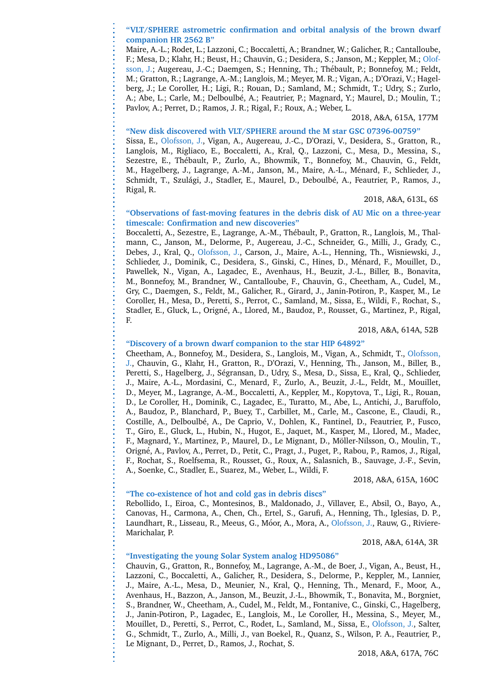#### **"VLT/SPHERE astrometric confirmation and orbital analysis of the brown dwarf companion HR 2562 B"**

Maire, A.-L.; Rodet, L.; Lazzoni, C.; Boccaletti, A.; Brandner, W.; Galicher, R.; Cantalloube, F.; Mesa, D.; Klahr, H.; Beust, H.; Chauvin, G.; Desidera, S.; Janson, M.; Keppler, M.; Olofsson, J.; Augereau, J.-C.; Daemgen, S.; Henning, Th.; Thébault, P.; Bonnefoy, M.; Feldt, M.; Gratton, R.; Lagrange, A.-M.; Langlois, M.; Meyer, M. R.; Vigan, A.; D'Orazi, V.; Hagelberg, J.; Le Coroller, H.; Ligi, R.; Rouan, D.; Samland, M.; Schmidt, T.; Udry, S.; Zurlo, A.; Abe, L.; Carle, M.; Delboulbé, A.; Feautrier, P.; Magnard, Y.; Maurel, D.; Moulin, T.; Pavlov, A.; Perret, D.; Ramos, J. R.; Rigal, F.; Roux, A.; Weber, L.

2018, A&A, 615A, 177M

#### **"New disk discovered with VLT/SPHERE around the M star GSC 07396-00759"**

Sissa, E., Olofsson, J., Vigan, A., Augereau, J.-C., D'Orazi, V., Desidera, S., Gratton, R., Langlois, M., Rigliaco, E., Boccaletti, A., Kral, Q., Lazzoni, C., Mesa, D., Messina, S., Sezestre, E., Thébault, P., Zurlo, A., Bhowmik, T., Bonnefoy, M., Chauvin, G., Feldt, M., Hagelberg, J., Lagrange, A.-M., Janson, M., Maire, A.-L., Ménard, F., Schlieder, J., Schmidt, T., Szulági, J., Stadler, E., Maurel, D., Deboulbé, A., Feautrier, P., Ramos, J., Rigal, R.

#### 2018, A&A, 613L, 6S

#### **"Observations of fast-moving features in the debris disk of AU Mic on a three-year timescale: Confirmation and new discoveries"**

Boccaletti, A., Sezestre, E., Lagrange, A.-M., Thébault, P., Gratton, R., Langlois, M., Thalmann, C., Janson, M., Delorme, P., Augereau, J.-C., Schneider, G., Milli, J., Grady, C., Debes, J., Kral, Q., Olofsson, J., Carson, J., Maire, A.-L., Henning, Th., Wisniewski, J., Schlieder, J., Dominik, C., Desidera, S., Ginski, C., Hines, D., Ménard, F., Mouillet, D., Pawellek, N., Vigan, A., Lagadec, E., Avenhaus, H., Beuzit, J.-L., Biller, B., Bonavita, M., Bonnefoy, M., Brandner, W., Cantalloube, F., Chauvin, G., Cheetham, A., Cudel, M., Gry, C., Daemgen, S., Feldt, M., Galicher, R., Girard, J., Janin-Potiron, P., Kasper, M., Le Coroller, H., Mesa, D., Peretti, S., Perrot, C., Samland, M., Sissa, E., Wildi, F., Rochat, S., Stadler, E., Gluck, L., Origné, A., Llored, M., Baudoz, P., Rousset, G., Martinez, P., Rigal, F.

2018, A&A, 614A, 52B

#### **"Discovery of a brown dwarf companion to the star HIP 64892"**

Cheetham, A., Bonnefoy, M., Desidera, S., Langlois, M., Vigan, A., Schmidt, T., Olofsson, J., Chauvin, G., Klahr, H., Gratton, R., D'Orazi, V., Henning, Th., Janson, M., Biller, B., Peretti, S., Hagelberg, J., Ségransan, D., Udry, S., Mesa, D., Sissa, E., Kral, Q., Schlieder, J., Maire, A.-L., Mordasini, C., Menard, F., Zurlo, A., Beuzit, J.-L., Feldt, M., Mouillet, D., Meyer, M., Lagrange, A.-M., Boccaletti, A., Keppler, M., Kopytova, T., Ligi, R., Rouan, D., Le Coroller, H., Dominik, C., Lagadec, E., Turatto, M., Abe, L., Antichi, J., Baruffolo, A., Baudoz, P., Blanchard, P., Buey, T., Carbillet, M., Carle, M., Cascone, E., Claudi, R., Costille, A., Delboulb´e, A., De Caprio, V., Dohlen, K., Fantinel, D., Feautrier, P., Fusco, T., Giro, E., Gluck, L., Hubin, N., Hugot, E., Jaquet, M., Kasper, M., Llored, M., Madec, F., Magnard, Y., Martinez, P., Maurel, D., Le Mignant, D., Möller-Nilsson, O., Moulin, T., Orign´e, A., Pavlov, A., Perret, D., Petit, C., Pragt, J., Puget, P., Rabou, P., Ramos, J., Rigal, F., Rochat, S., Roelfsema, R., Rousset, G., Roux, A., Salasnich, B., Sauvage, J.-F., Sevin, A., Soenke, C., Stadler, E., Suarez, M., Weber, L., Wildi, F.

2018, A&A, 615A, 160C

#### **"The co-existence of hot and cold gas in debris discs"**

Rebollido, I., Eiroa, C., Montesinos, B., Maldonado, J., Villaver, E., Absil, O., Bayo, A., Canovas, H., Carmona, A., Chen, Ch., Ertel, S., Garufi, A., Henning, Th., Iglesias, D. P., Laundhart, R., Lisseau, R., Meeus, G., Móor, A., Mora, A., Olofsson, J., Rauw, G., Riviere-Marichalar, P.

2018, A&A, 614A, 3R

#### **"Investigating the young Solar System analog HD95086"**

Chauvin, G., Gratton, R., Bonnefoy, M., Lagrange, A.-M., de Boer, J., Vigan, A., Beust, H., Lazzoni, C., Boccaletti, A., Galicher, R., Desidera, S., Delorme, P., Keppler, M., Lannier, J., Maire, A.-L., Mesa, D., Meunier, N., Kral, Q., Henning, Th., Menard, F., Moor, A., Avenhaus, H., Bazzon, A., Janson, M., Beuzit, J.-L., Bhowmik, T., Bonavita, M., Borgniet, S., Brandner, W., Cheetham, A., Cudel, M., Feldt, M., Fontanive, C., Ginski, C., Hagelberg, J., Janin-Potiron, P., Lagadec, E., Langlois, M., Le Coroller, H., Messina, S., Meyer, M., Mouillet, D., Peretti, S., Perrot, C., Rodet, L., Samland, M., Sissa, E., Olofsson, J., Salter, G., Schmidt, T., Zurlo, A., Milli, J., van Boekel, R., Quanz, S., Wilson, P. A., Feautrier, P., Le Mignant, D., Perret, D., Ramos, J., Rochat, S.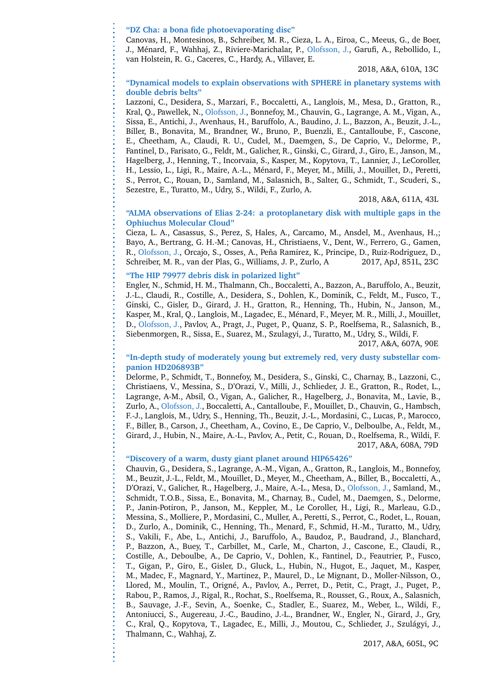#### **"DZ Cha: a bona fide photoevaporating disc"**

Canovas, H., Montesinos, B., Schreiber, M. R., Cieza, L. A., Eiroa, C., Meeus, G., de Boer, J., Ménard, F., Wahhaj, Z., Riviere-Marichalar, P., Olofsson, J., Garufi, A., Rebollido, I., van Holstein, R. G., Caceres, C., Hardy, A., Villaver, E.

#### 2018, A&A, 610A, 13C

#### **"Dynamical models to explain observations with SPHERE in planetary systems with double debris belts"**

Lazzoni, C., Desidera, S., Marzari, F., Boccaletti, A., Langlois, M., Mesa, D., Gratton, R., Kral, Q., Pawellek, N., Olofsson, J., Bonnefoy, M., Chauvin, G., Lagrange, A. M., Vigan, A., Sissa, E., Antichi, J., Avenhaus, H., Baruffolo, A., Baudino, J. L., Bazzon, A., Beuzit, J.-L., Biller, B., Bonavita, M., Brandner, W., Bruno, P., Buenzli, E., Cantalloube, F., Cascone, E., Cheetham, A., Claudi, R. U., Cudel, M., Daemgen, S., De Caprio, V., Delorme, P., Fantinel, D., Farisato, G., Feldt, M., Galicher, R., Ginski, C., Girard, J., Giro, E., Janson, M., Hagelberg, J., Henning, T., Incorvaia, S., Kasper, M., Kopytova, T., Lannier, J., LeCoroller, H., Lessio, L., Ligi, R., Maire, A.-L., Ménard, F., Meyer, M., Milli, J., Mouillet, D., Peretti, S., Perrot, C., Rouan, D., Samland, M., Salasnich, B., Salter, G., Schmidt, T., Scuderi, S., Sezestre, E., Turatto, M., Udry, S., Wildi, F., Zurlo, A.

#### 2018, A&A, 611A, 43L

#### **"ALMA observations of Elias 2-24: a protoplanetary disk with multiple gaps in the Ophiuchus Molecular Cloud"**

Cieza, L. A., Casassus, S., Perez, S, Hales, A., Carcamo, M., Ansdel, M., Avenhaus, H.,; Bayo, A., Bertrang, G. H.-M.; Canovas, H., Christiaens, V., Dent, W., Ferrero, G., Gamen, R., Olofsson, J., Orcajo, S., Osses, A., Peña Ramirez, K., Principe, D., Ruiz-Rodriguez, D., Schreiber, M. R., van der Plas, G., Williams, J. P., Zurlo, A 2017, ApJ, 851L, 23C

#### **"The HIP 79977 debris disk in polarized light"**

Engler, N., Schmid, H. M., Thalmann, Ch., Boccaletti, A., Bazzon, A., Baruffolo, A., Beuzit, J.-L., Claudi, R., Costille, A., Desidera, S., Dohlen, K., Dominik, C., Feldt, M., Fusco, T., Ginski, C., Gisler, D., Girard, J. H., Gratton, R., Henning, Th., Hubin, N., Janson, M., Kasper, M., Kral, Q., Langlois, M., Lagadec, E., Ménard, F., Meyer, M. R., Milli, J., Mouillet, D., Olofsson, J., Pavlov, A., Pragt, J., Puget, P., Quanz, S. P., Roelfsema, R., Salasnich, B., Siebenmorgen, R., Sissa, E., Suarez, M., Szulagyi, J., Turatto, M., Udry, S., Wildi, F. 2017, A&A, 607A, 90E

#### **"In-depth study of moderately young but extremely red, very dusty substellar companion HD206893B"**

Delorme, P., Schmidt, T., Bonnefoy, M., Desidera, S., Ginski, C., Charnay, B., Lazzoni, C., Christiaens, V., Messina, S., D'Orazi, V., Milli, J., Schlieder, J. E., Gratton, R., Rodet, L., Lagrange, A-M., Absil, O., Vigan, A., Galicher, R., Hagelberg, J., Bonavita, M., Lavie, B., Zurlo, A., Olofsson, J., Boccaletti, A., Cantalloube, F., Mouillet, D., Chauvin, G., Hambsch, F.-J., Langlois, M., Udry, S., Henning, Th., Beuzit, J.-L., Mordasini, C., Lucas, P., Marocco, F., Biller, B., Carson, J., Cheetham, A., Covino, E., De Caprio, V., Delboulbe, A., Feldt, M., Girard, J., Hubin, N., Maire, A.-L., Pavlov, A., Petit, C., Rouan, D., Roelfsema, R., Wildi, F. 2017, A&A, 608A, 79D

#### **"Discovery of a warm, dusty giant planet around HIP65426"**

Chauvin, G., Desidera, S., Lagrange, A.-M., Vigan, A., Gratton, R., Langlois, M., Bonnefoy, M., Beuzit, J.-L., Feldt, M., Mouillet, D., Meyer, M., Cheetham, A., Biller, B., Boccaletti, A., D'Orazi, V., Galicher, R., Hagelberg, J., Maire, A.-L., Mesa, D., Olofsson, J., Samland, M., Schmidt, T.O.B., Sissa, E., Bonavita, M., Charnay, B., Cudel, M., Daemgen, S., Delorme, P., Janin-Potiron, P., Janson, M., Keppler, M., Le Coroller, H., Ligi, R., Marleau, G.D., Messina, S., Molliere, P., Mordasini, C., Muller, A., Peretti, S., Perrot, C., Rodet, L., Rouan, D., Zurlo, A., Dominik, C., Henning, Th., Menard, F., Schmid, H.-M., Turatto, M., Udry, S., Vakili, F., Abe, L., Antichi, J., Baruffolo, A., Baudoz, P., Baudrand, J., Blanchard, P., Bazzon, A., Buey, T., Carbillet, M., Carle, M., Charton, J., Cascone, E., Claudi, R., Costille, A., Deboulbe, A., De Caprio, V., Dohlen, K., Fantinel, D., Feautrier, P., Fusco, T., Gigan, P., Giro, E., Gisler, D., Gluck, L., Hubin, N., Hugot, E., Jaquet, M., Kasper, M., Madec, F., Magnard, Y., Martinez, P., Maurel, D., Le Mignant, D., Moller-Nilsson, O., Llored, M., Moulin, T., Origné, A., Pavlov, A., Perret, D., Petit, C., Pragt, J., Puget, P., Rabou, P., Ramos, J., Rigal, R., Rochat, S., Roelfsema, R., Rousset, G., Roux, A., Salasnich, B., Sauvage, J.-F., Sevin, A., Soenke, C., Stadler, E., Suarez, M., Weber, L., Wildi, F., Antoniucci, S., Augereau, J.-C., Baudino, J.-L., Brandner, W., Engler, N., Girard, J., Gry, C., Kral, Q., Kopytova, T., Lagadec, E., Milli, J., Moutou, C., Schlieder, J., Szulagyi, J., ´ Thalmann, C., Wahhaj, Z.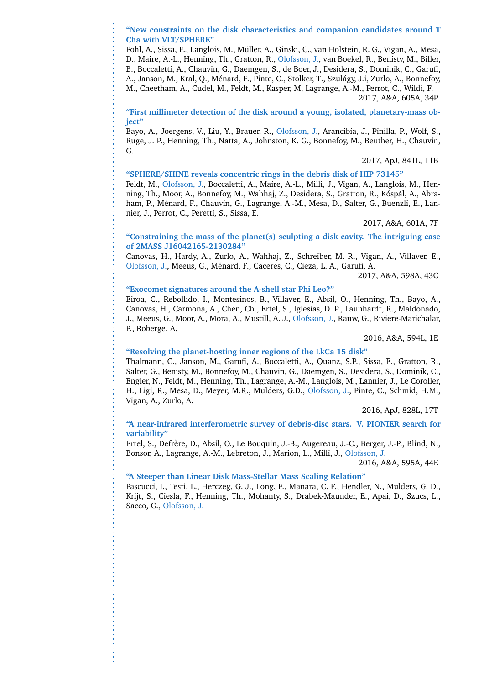#### **"New constraints on the disk characteristics and companion candidates around T Cha with VLT/SPHERE"**

Pohl, A., Sissa, E., Langlois, M., Muller, A., Ginski, C., van Holstein, R. G., Vigan, A., Mesa, ¨ D., Maire, A.-L., Henning, Th., Gratton, R., Olofsson, J., van Boekel, R., Benisty, M., Biller, B., Boccaletti, A., Chauvin, G., Daemgen, S., de Boer, J., Desidera, S., Dominik, C., Garufi, A., Janson, M., Kral, Q., Ménard, F., Pinte, C., Stolker, T., Szulágy, J.i, Zurlo, A., Bonnefoy, M., Cheetham, A., Cudel, M., Feldt, M., Kasper, M, Lagrange, A.-M., Perrot, C., Wildi, F. 2017, A&A, 605A, 34P

**"First millimeter detection of the disk around a young, isolated, planetary-mass object"**

Bayo, A., Joergens, V., Liu, Y., Brauer, R., Olofsson, J., Arancibia, J., Pinilla, P., Wolf, S., Ruge, J. P., Henning, Th., Natta, A., Johnston, K. G., Bonnefoy, M., Beuther, H., Chauvin, G.

2017, ApJ, 841L, 11B

#### **"SPHERE/SHINE reveals concentric rings in the debris disk of HIP 73145"**

Feldt, M., Olofsson, J., Boccaletti, A., Maire, A.-L., Milli, J., Vigan, A., Langlois, M., Henning, Th., Moor, A., Bonnefoy, M., Wahhaj, Z., Desidera, S., Gratton, R., Kóspál, A., Abraham, P., Ménard, F., Chauvin, G., Lagrange, A.-M., Mesa, D., Salter, G., Buenzli, E., Lannier, J., Perrot, C., Peretti, S., Sissa, E.

#### 2017, A&A, 601A, 7F

#### **"Constraining the mass of the planet(s) sculpting a disk cavity. The intriguing case of 2MASS J16042165-2130284"**

Canovas, H., Hardy, A., Zurlo, A., Wahhaj, Z., Schreiber, M. R., Vigan, A., Villaver, E., Olofsson, J., Meeus, G., Ménard, F., Caceres, C., Cieza, L. A., Garufi, A.

2017, A&A, 598A, 43C

#### **"Exocomet signatures around the A-shell star Phi Leo?"**

Eiroa, C., Rebollido, I., Montesinos, B., Villaver, E., Absil, O., Henning, Th., Bayo, A., Canovas, H., Carmona, A., Chen, Ch., Ertel, S., Iglesias, D. P., Launhardt, R., Maldonado, J., Meeus, G., Moor, A., Mora, A., Mustill, A. J., Olofsson, J., Rauw, G., Riviere-Marichalar, P., Roberge, A.

2016, A&A, 594L, 1E

#### **"Resolving the planet-hosting inner regions of the LkCa 15 disk"**

Thalmann, C., Janson, M., Garufi, A., Boccaletti, A., Quanz, S.P., Sissa, E., Gratton, R., Salter, G., Benisty, M., Bonnefoy, M., Chauvin, G., Daemgen, S., Desidera, S., Dominik, C., Engler, N., Feldt, M., Henning, Th., Lagrange, A.-M., Langlois, M., Lannier, J., Le Coroller, H., Ligi, R., Mesa, D., Meyer, M.R., Mulders, G.D., Olofsson, J., Pinte, C., Schmid, H.M., Vigan, A., Zurlo, A.

2016, ApJ, 828L, 17T

#### **"A near-infrared interferometric survey of debris-disc stars. V. PIONIER search for variability"**

Ertel, S., Defrère, D., Absil, O., Le Bouquin, J.-B., Augereau, J.-C., Berger, J.-P., Blind, N., Bonsor, A., Lagrange, A.-M., Lebreton, J., Marion, L., Milli, J., Olofsson, J.

2016, A&A, 595A, 44E

#### **"A Steeper than Linear Disk Mass-Stellar Mass Scaling Relation"**

Pascucci, I., Testi, L., Herczeg, G. J., Long, F., Manara, C. F., Hendler, N., Mulders, G. D., Krijt, S., Ciesla, F., Henning, Th., Mohanty, S., Drabek-Maunder, E., Apai, D., Szucs, L., Sacco, G., Olofsson, J.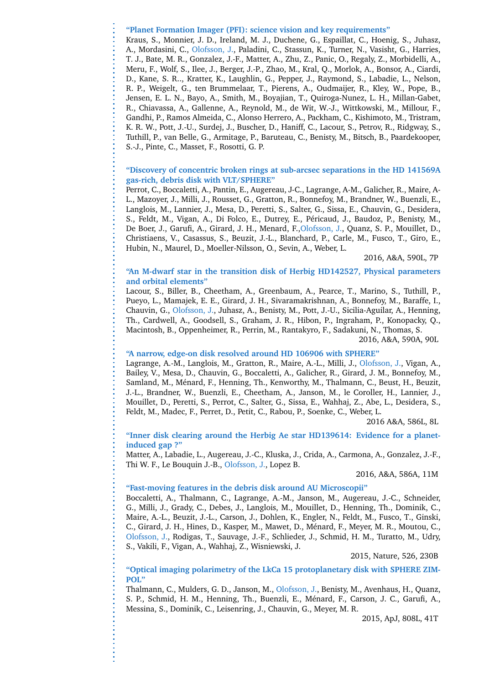**"Planet Formation Imager (PFI): science vision and key requirements"**

Kraus, S., Monnier, J. D., Ireland, M. J., Duchene, G., Espaillat, C., Hoenig, S., Juhasz, A., Mordasini, C., Olofsson, J., Paladini, C., Stassun, K., Turner, N., Vasisht, G., Harries, T. J., Bate, M. R., Gonzalez, J.-F., Matter, A., Zhu, Z., Panic, O., Regaly, Z., Morbidelli, A., Meru, F., Wolf, S., Ilee, J., Berger, J.-P., Zhao, M., Kral, Q., Morlok, A., Bonsor, A., Ciardi, D., Kane, S. R.., Kratter, K., Laughlin, G., Pepper, J., Raymond, S., Labadie, L., Nelson, R. P., Weigelt, G., ten Brummelaar, T., Pierens, A., Oudmaijer, R., Kley, W., Pope, B., Jensen, E. L. N., Bayo, A., Smith, M., Boyajian, T., Quiroga-Nunez, L. H., Millan-Gabet, R., Chiavassa, A., Gallenne, A., Reynold, M., de Wit, W.-J., Wittkowski, M., Millour, F., Gandhi, P., Ramos Almeida, C., Alonso Herrero, A., Packham, C., Kishimoto, M., Tristram, K. R. W., Pott, J.-U., Surdej, J., Buscher, D., Haniff, C., Lacour, S., Petrov, R., Ridgway, S., Tuthill, P., van Belle, G., Armitage, P., Baruteau, C., Benisty, M., Bitsch, B., Paardekooper, S.-J., Pinte, C., Masset, F., Rosotti, G. P.

#### **"Discovery of concentric broken rings at sub-arcsec separations in the HD 141569A gas-rich, debris disk with VLT/SPHERE"**

Perrot, C., Boccaletti, A., Pantin, E., Augereau, J-C., Lagrange, A-M., Galicher, R., Maire, A-L., Mazoyer, J., Milli, J., Rousset, G., Gratton, R., Bonnefoy, M., Brandner, W., Buenzli, E., Langlois, M., Lannier, J., Mesa, D., Peretti, S., Salter, G., Sissa, E., Chauvin, G., Desidera, S., Feldt, M., Vigan, A., Di Folco, E., Dutrey, E., Péricaud, J., Baudoz, P., Benisty, M., De Boer, J., Garufi, A., Girard, J. H., Menard, F.,Olofsson, J., Quanz, S. P., Mouillet, D., Christiaens, V., Casassus, S., Beuzit, J.-L., Blanchard, P., Carle, M., Fusco, T., Giro, E., Hubin, N., Maurel, D., Moeller-Nilsson, O., Sevin, A., Weber, L.

2016, A&A, 590L, 7P

#### **"An M-dwarf star in the transition disk of Herbig HD142527, Physical parameters and orbital elements"**

Lacour, S., Biller, B., Cheetham, A., Greenbaum, A., Pearce, T., Marino, S., Tuthill, P., Pueyo, L., Mamajek, E. E., Girard, J. H., Sivaramakrishnan, A., Bonnefoy, M., Baraffe, I., Chauvin, G., Olofsson, J., Juhasz, A., Benisty, M., Pott, J.-U., Sicilia-Aguilar, A., Henning, Th., Cardwell, A., Goodsell, S., Graham, J. R., Hibon, P., Ingraham, P., Konopacky, Q., Macintosh, B., Oppenheimer, R., Perrin, M., Rantakyro, F., Sadakuni, N., Thomas, S.

#### 2016, A&A, 590A, 90L

#### **"A narrow, edge-on disk resolved around HD 106906 with SPHERE"**

Lagrange, A.-M., Langlois, M., Gratton, R., Maire, A.-L., Milli, J., Olofsson, J., Vigan, A., Bailey, V., Mesa, D., Chauvin, G., Boccaletti, A., Galicher, R., Girard, J. M., Bonnefoy, M., Samland, M., Ménard, F., Henning, Th., Kenworthy, M., Thalmann, C., Beust, H., Beuzit, J.-L., Brandner, W., Buenzli, E., Cheetham, A., Janson, M., le Coroller, H., Lannier, J., Mouillet, D., Peretti, S., Perrot, C., Salter, G., Sissa, E., Wahhaj, Z., Abe, L., Desidera, S., Feldt, M., Madec, F., Perret, D., Petit, C., Rabou, P., Soenke, C., Weber, L.

2016 A&A, 586L, 8L

**"Inner disk clearing around the Herbig Ae star HD139614: Evidence for a planetinduced gap ?"**

Matter, A., Labadie, L., Augereau, J.-C., Kluska, J., Crida, A., Carmona, A., Gonzalez, J.-F., Thi W. F., Le Bouquin J.-B., Olofsson, J., Lopez B.

2016, A&A, 586A, 11M

#### **"Fast-moving features in the debris disk around AU Microscopii"**

Boccaletti, A., Thalmann, C., Lagrange, A.-M., Janson, M., Augereau, J.-C., Schneider, G., Milli, J., Grady, C., Debes, J., Langlois, M., Mouillet, D., Henning, Th., Dominik, C., Maire, A.-L., Beuzit, J.-L., Carson, J., Dohlen, K., Engler, N., Feldt, M., Fusco, T., Ginski, C., Girard, J. H., Hines, D., Kasper, M., Mawet, D., Ménard, F., Meyer, M. R., Moutou, C., Olofsson, J., Rodigas, T., Sauvage, J.-F., Schlieder, J., Schmid, H. M., Turatto, M., Udry, S., Vakili, F., Vigan, A., Wahhaj, Z., Wisniewski, J.

2015, Nature, 526, 230B

**"Optical imaging polarimetry of the LkCa 15 protoplanetary disk with SPHERE ZIM-POL"**

Thalmann, C., Mulders, G. D., Janson, M., Olofsson, J., Benisty, M., Avenhaus, H., Quanz, S. P., Schmid, H. M., Henning, Th., Buenzli, E., Ménard, F., Carson, J. C., Garufi, A., Messina, S., Dominik, C., Leisenring, J., Chauvin, G., Meyer, M. R.

2015, ApJ, 808L, 41T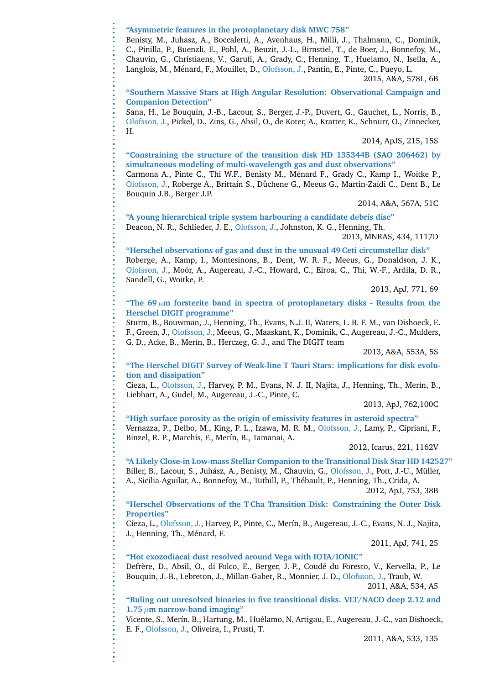**"Asymmetric features in the protoplanetary disk MWC 758"**

Benisty, M., Juhasz, A., Boccaletti, A., Avenhaus, H., Milli, J., Thalmann, C., Dominik, C., Pinilla, P., Buenzli, E., Pohl, A., Beuzit, J.-L., Birnstiel, T., de Boer, J., Bonnefoy, M., Chauvin, G., Christiaens, V., Garufi, A., Grady, C., Henning, T., Huelamo, N., Isella, A., Langlois, M., Ménard, F., Mouillet, D., Olofsson, J., Pantin, E., Pinte, C., Pueyo, L.

2015, A&A, 578L, 6B

**"Southern Massive Stars at High Angular Resolution: Observational Campaign and Companion Detection"**

Sana, H., Le Bouquin, J.-B., Lacour, S., Berger, J.-P., Duvert, G., Gauchet, L., Norris, B., Olofsson, J., Pickel, D., Zins, G., Absil, O., de Koter, A., Kratter, K., Schnurr, O., Zinnecker, H.

2014, ApJS, 215, 15S

**"Constraining the structure of the transition disk HD 135344B (SAO 206462) by simultaneous modeling of multi-wavelength gas and dust observations"**

Carmona A., Pinte C., Thi W.F., Benisty M., M´enard F., Grady C., Kamp I., Woitke P., Olofsson, J., Roberge A., Brittain S., Dûchene G., Meeus G., Martin-Zaïdi C., Dent B., Le Bouquin J.B., Berger J.P.

2014, A&A, 567A, 51C

**"A young hierarchical triple system harbouring a candidate debris disc"** Deacon, N. R., Schlieder, J. E., Olofsson, J., Johnston, K. G., Henning, Th.

2013, MNRAS, 434, 1117D

**"Herschel observations of gas and dust in the unusual 49 Ceti circumstellar disk"**

Roberge, A., Kamp, I., Montesinons, B., Dent, W. R. F., Meeus, G., Donaldson, J. K., Olofsson, J., Moór, A., Augereau, J.-C., Howard, C., Eiroa, C., Thi, W.-F., Ardila, D. R., Sandell, G., Woitke, P.

2013, ApJ, 771, 69

"The 69 $\mu$ m forsterite band in spectra of protoplanetary disks - Results from the **Herschel DIGIT programme"**

Sturm, B., Bouwman, J., Henning, Th., Evans, N.J. II, Waters, L. B. F. M., van Dishoeck, E. F., Green, J., Olofsson, J., Meeus, G., Maaskant, K., Dominik, C., Augereau, J.-C., Mulders, G. D., Acke, B., Merín, B., Herczeg, G. J., and The DIGIT team

2013, A&A, 553A, 5S

**"The Herschel DIGIT Survey of Weak-line T Tauri Stars: implications for disk evolution and dissipation"**

Cieza, L., Olofsson, J., Harvey, P. M., Evans, N. J. II, Najita, J., Henning, Th., Merín, B., Liebhart, A., Gudel, M., Augereau, J.-C., Pinte, C.

2013, ApJ, 762,100C

**"High surface porosity as the origin of emissivity features in asteroid spectra"** Vernazza, P., Delbo, M., King, P. L., Izawa, M. R. M., Olofsson, J., Lamy, P., Cipriani, F., Binzel, R. P., Marchis, F., Merín, B., Tamanai, A.

2012, Icarus, 221, 1162V

**"A Likely Close-in Low-mass Stellar Companion to the Transitional Disk Star HD 142527"** Biller, B., Lacour, S., Juhász, A., Benisty, M., Chauvin, G., Olofsson, J., Pott, J.-U., Müller, A., Sicilia-Aguilar, A., Bonnefoy, M., Tuthill, P., Thébault, P., Henning, Th., Crida, A.

2012, ApJ, 753, 38B

**"Herschel Observations of the T Cha Transition Disk: Constraining the Outer Disk Properties"**

Cieza, L., Olofsson, J., Harvey, P., Pinte, C., Mer´ın, B., Augereau, J.-C., Evans, N. J., Najita, J., Henning, Th., Ménard, F.

2011, ApJ, 741, 25

**"Hot exozodiacal dust resolved around Vega with IOTA/IONIC"**

Defrère, D., Absil, O., di Folco, E., Berger, J.-P., Coudé du Foresto, V., Kervella, P., Le Bouquin, J.-B., Lebreton, J., Millan-Gabet, R., Monnier, J. D., Olofsson, J., Traub, W. 2011, A&A, 534, A5

**"Ruling out unresolved binaries in five transitional disks. VLT/NACO deep 2.12 and 1.75**  $\mu$ m narrow-band imaging"

Vicente, S., Merín, B., Hartung, M., Huélamo, N, Artigau, E., Augereau, J.-C., van Dishoeck, E. F., Olofsson, J., Oliveira, I., Prusti, T.

2011, A&A, 533, 135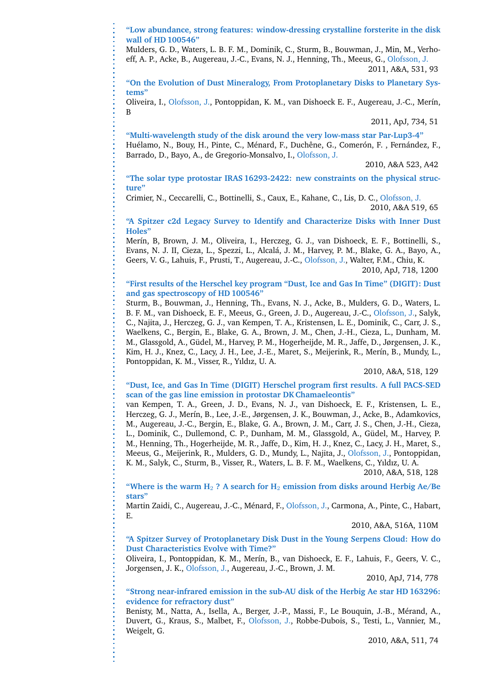**"Low abundance, strong features: window-dressing crystalline forsterite in the disk wall of HD 100546"**

Mulders, G. D., Waters, L. B. F. M., Dominik, C., Sturm, B., Bouwman, J., Min, M., Verhoeff, A. P., Acke, B., Augereau, J.-C., Evans, N. J., Henning, Th., Meeus, G., Olofsson, J. 2011, A&A, 531, 93

**"On the Evolution of Dust Mineralogy, From Protoplanetary Disks to Planetary Systems"**

Oliveira, I., Olofsson, J., Pontoppidan, K. M., van Dishoeck E. F., Augereau, J.-C., Mer´ın, B

2011, ApJ, 734, 51

**"Multi-wavelength study of the disk around the very low-mass star Par-Lup3-4"** Huélamo, N., Bouy, H., Pinte, C., Ménard, F., Duchêne, G., Comerón, F., Fernández, F., Barrado, D., Bayo, A., de Gregorio-Monsalvo, I., Olofsson, J.

2010, A&A 523, A42

**"The solar type protostar IRAS 16293-2422: new constraints on the physical structure"**

Crimier, N., Ceccarelli, C., Bottinelli, S., Caux, E., Kahane, C., Lis, D. C., Olofsson, J. 2010, A&A 519, 65

**"A Spitzer c2d Legacy Survey to Identify and Characterize Disks with Inner Dust Holes"**

Merín, B, Brown, J. M., Oliveira, I., Herczeg, G. J., van Dishoeck, E. F., Bottinelli, S., Evans, N. J. II, Cieza, L., Spezzi, L., Alcala, J. M., Harvey, P. M., Blake, G. A., Bayo, A., ´ Geers, V. G., Lahuis, F., Prusti, T., Augereau, J.-C., Olofsson, J., Walter, F.M., Chiu, K. 2010, ApJ, 718, 1200

#### **"First results of the Herschel key program "Dust, Ice and Gas In Time" (DIGIT): Dust and gas spectroscopy of HD 100546"**

Sturm, B., Bouwman, J., Henning, Th., Evans, N. J., Acke, B., Mulders, G. D., Waters, L. B. F. M., van Dishoeck, E. F., Meeus, G., Green, J. D., Augereau, J.-C., Olofsson, J., Salyk, C., Najita, J., Herczeg, G. J., van Kempen, T. A., Kristensen, L. E., Dominik, C., Carr, J. S., Waelkens, C., Bergin, E., Blake, G. A., Brown, J. M., Chen, J.-H., Cieza, L., Dunham, M. M., Glassgold, A., Güdel, M., Harvey, P. M., Hogerheijde, M. R., Jaffe, D., Jørgensen, J. K., Kim, H. J., Knez, C., Lacy, J. H., Lee, J.-E., Maret, S., Meijerink, R., Merín, B., Mundy, L., Pontoppidan, K. M., Visser, R., Yıldız, U. A.

2010, A&A, 518, 129

#### **"Dust, Ice, and Gas In Time (DIGIT) Herschel program first results. A full PACS-SED scan of the gas line emission in protostar DK Chamaeleontis"**

van Kempen, T. A., Green, J. D., Evans, N. J., van Dishoeck, E. F., Kristensen, L. E., Herczeg, G. J., Merín, B., Lee, J.-E., Jørgensen, J. K., Bouwman, J., Acke, B., Adamkovics, M., Augereau, J.-C., Bergin, E., Blake, G. A., Brown, J. M., Carr, J. S., Chen, J.-H., Cieza, L., Dominik, C., Dullemond, C. P., Dunham, M. M., Glassgold, A., Güdel, M., Harvey, P. M., Henning, Th., Hogerheijde, M. R., Jaffe, D., Kim, H. J., Knez, C., Lacy, J. H., Maret, S., Meeus, G., Meijerink, R., Mulders, G. D., Mundy, L., Najita, J., Olofsson, J., Pontoppidan, K. M., Salyk, C., Sturm, B., Visser, R., Waters, L. B. F. M., Waelkens, C., Yıldız, U. A.

2010, A&A, 518, 128

**"Where is the warm H**<sup>2</sup> **? A search for H**<sup>2</sup> **emission from disks around Herbig Ae/Be stars"**

Martin Zaidi, C., Augereau, J.-C., Ménard, F., Olofsson, J., Carmona, A., Pinte, C., Habart, E.

2010, A&A, 516A, 110M

**"A Spitzer Survey of Protoplanetary Disk Dust in the Young Serpens Cloud: How do Dust Characteristics Evolve with Time?"**

Oliveira, I., Pontoppidan, K. M., Mer´ın, B., van Dishoeck, E. F., Lahuis, F., Geers, V. C., Jorgensen, J. K., Olofsson, J., Augereau, J.-C., Brown, J. M.

2010, ApJ, 714, 778

**"Strong near-infrared emission in the sub-AU disk of the Herbig Ae star HD 163296: evidence for refractory dust"**

Benisty, M., Natta, A., Isella, A., Berger, J.-P., Massi, F., Le Bouquin, J.-B., Mérand, A., Duvert, G., Kraus, S., Malbet, F., Olofsson, J., Robbe-Dubois, S., Testi, L., Vannier, M., Weigelt, G.

2010, A&A, 511, 74